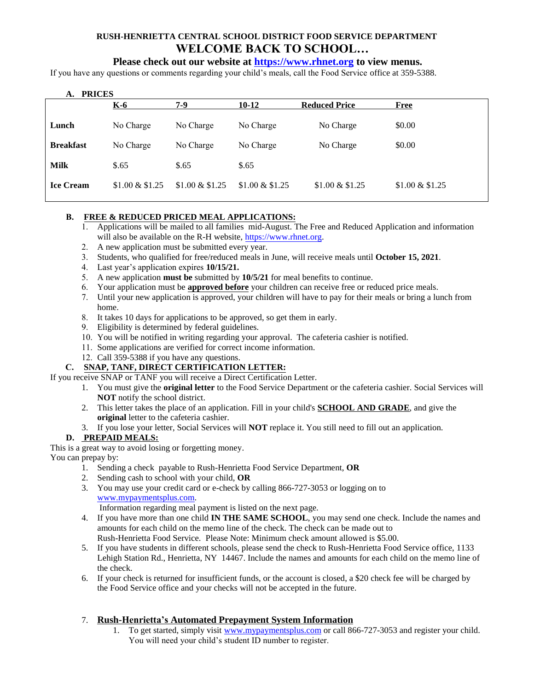# **RUSH-HENRIETTA CENTRAL SCHOOL DISTRICT FOOD SERVICE DEPARTMENT WELCOME BACK TO SCHOOL…**

# **Please check out our website at [https://www.rhnet.org](https://www.rhnet.org/Page/22) to view menus.**

If you have any questions or comments regarding your child's meals, call the Food Service office at 359-5388.

| A. PRICES        |                  |                  |                  |                      |                  |
|------------------|------------------|------------------|------------------|----------------------|------------------|
|                  | $K-6$            | 7-9              | $10-12$          | <b>Reduced Price</b> | <b>Free</b>      |
| Lunch            | No Charge        | No Charge        | No Charge        | No Charge            | \$0.00           |
| <b>Breakfast</b> | No Charge        | No Charge        | No Charge        | No Charge            | \$0.00           |
| <b>Milk</b>      | \$.65            | \$.65            | \$.65            |                      |                  |
| <b>Ice Cream</b> | $$1.00 \& $1.25$ | $$1.00 \& $1.25$ | $$1.00 \& $1.25$ | $$1.00 \& $1.25$     | $$1.00 \& $1.25$ |

### **B. FREE & REDUCED PRICED MEAL APPLICATIONS:**

- 1. Applications will be mailed to all families mid-August. The Free and Reduced Application and information will also be available on the R-H website, [https://www.rhnet.org.](https://www.rhnet.org/Page/22)
- 2. A new application must be submitted every year.
- 3. Students, who qualified for free/reduced meals in June, will receive meals until **October 15, 2021**.
- 4. Last year's application expires **10/15/21.**
- 5. A new application **must be** submitted by **10/5/21** for meal benefits to continue.
- 6. Your application must be **approved before** your children can receive free or reduced price meals.
- 7. Until your new application is approved, your children will have to pay for their meals or bring a lunch from home.
- 8. It takes 10 days for applications to be approved, so get them in early.
- 9. Eligibility is determined by federal guidelines.
- 10. You will be notified in writing regarding your approval. The cafeteria cashier is notified.
- 11. Some applications are verified for correct income information.
- 12. Call 359-5388 if you have any questions.

# **C. SNAP, TANF, DIRECT CERTIFICATION LETTER:**

If you receive SNAP or TANF you will receive a Direct Certification Letter.

- 1. You must give the **original letter** to the Food Service Department or the cafeteria cashier. Social Services will **NOT** notify the school district.
- 2. This letter takes the place of an application. Fill in your child's **SCHOOL AND GRADE**, and give the **original** letter to the cafeteria cashier.
- 3. If you lose your letter, Social Services will **NOT** replace it. You still need to fill out an application.

### **D. PREPAID MEALS:**

This is a great way to avoid losing or forgetting money.

You can prepay by:

- 1. Sending a check payable to Rush-Henrietta Food Service Department, **OR**
- 2. Sending cash to school with your child, **OR**
- 3. You may use your credit card or e-check by calling 866-727-3053 or logging on to [www.mypaymentsplus.com.](http://www.mypaymentsplus.com/)

Information regarding meal payment is listed on the next page.

- 4. If you have more than one child **IN THE SAME SCHOOL**, you may send one check. Include the names and amounts for each child on the memo line of the check. The check can be made out to Rush-Henrietta Food Service. Please Note: Minimum check amount allowed is \$5.00.
- 5. If you have students in different schools, please send the check to Rush-Henrietta Food Service office, 1133 Lehigh Station Rd., Henrietta, NY 14467. Include the names and amounts for each child on the memo line of the check.
- 6. If your check is returned for insufficient funds, or the account is closed, a \$20 check fee will be charged by the Food Service office and your checks will not be accepted in the future.

### 7. **Rush-Henrietta's Automated Prepayment System Information**

1. To get started, simply visit [www.mypaymentsplus.com](http://www.mypaymentsplus.com/) or call 866-727-3053 and register your child. You will need your child's student ID number to register.